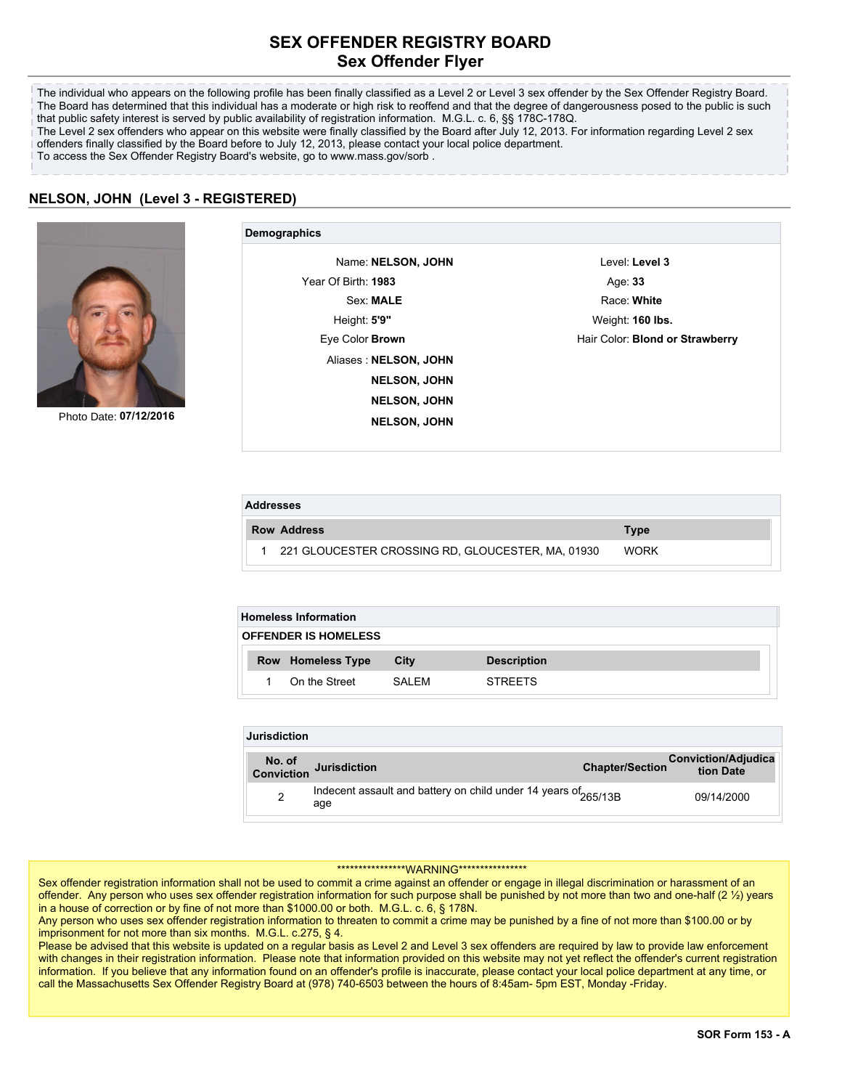## **SEX OFFENDER REGISTRY BOARD Sex Offender Flyer**

The individual who appears on the following profile has been finally classified as a Level 2 or Level 3 sex offender by the Sex Offender Registry Board. The Board has determined that this individual has a moderate or high risk to reoffend and that the degree of dangerousness posed to the public is such that public safety interest is served by public availability of registration information. M.G.L. c. 6, §§ 178C-178Q. The Level 2 sex offenders who appear on this website were finally classified by the Board after July 12, 2013. For information regarding Level 2 sex offenders finally classified by the Board before to July 12, 2013, please contact your local police department. To access the Sex Offender Registry Board's website, go to www.mass.gov/sorb .

## **NELSON, JOHN (Level 3 - REGISTERED)**



Photo Date: **07/12/2016**

| Demographics           |                                 |
|------------------------|---------------------------------|
| Name: NELSON, JOHN     | Level: Level 3                  |
| Year Of Birth: 1983    | Age: 33                         |
| Sex: MALE              | Race: White                     |
| Height: 5'9"           | Weight: 160 lbs.                |
| Eye Color <b>Brown</b> | Hair Color: Blond or Strawberry |
| Aliases: NELSON, JOHN  |                                 |
| <b>NELSON, JOHN</b>    |                                 |
| <b>NELSON, JOHN</b>    |                                 |
| <b>NELSON, JOHN</b>    |                                 |
|                        |                                 |

| <b>Addresses</b> |  |                                                     |             |  |  |
|------------------|--|-----------------------------------------------------|-------------|--|--|
|                  |  | <b>Row Address</b>                                  | <b>Type</b> |  |  |
|                  |  | 1 221 GLOUCESTER CROSSING RD, GLOUCESTER, MA, 01930 | <b>WORK</b> |  |  |

| <b>Homeless Information</b> |                          |      |                    |  |  |  |
|-----------------------------|--------------------------|------|--------------------|--|--|--|
| <b>OFFENDER IS HOMELESS</b> |                          |      |                    |  |  |  |
|                             |                          |      |                    |  |  |  |
|                             | <b>Row</b> Homeless Type | City | <b>Description</b> |  |  |  |

| <b>Jurisdiction</b> |                                                                                   |                        |                                         |  |  |  |
|---------------------|-----------------------------------------------------------------------------------|------------------------|-----------------------------------------|--|--|--|
|                     | No. of<br>Conviction Jurisdiction                                                 | <b>Chapter/Section</b> | <b>Conviction/Adjudica</b><br>tion Date |  |  |  |
| 2                   | Indecent assault and battery on child under 14 years of <sub>265/13B</sub><br>age |                        | 09/14/2000                              |  |  |  |

## \*\*\*\*\*\*\*\*\*\*\*\*\*\*\*\*WARNING\*\*\*\*\*\*\*\*\*\*\*\*\*\*\*\*

Sex offender registration information shall not be used to commit a crime against an offender or engage in illegal discrimination or harassment of an offender. Any person who uses sex offender registration information for such purpose shall be punished by not more than two and one-half (2 ½) years in a house of correction or by fine of not more than \$1000.00 or both. M.G.L. c. 6, § 178N.

Any person who uses sex offender registration information to threaten to commit a crime may be punished by a fine of not more than \$100.00 or by imprisonment for not more than six months. M.G.L. c.275, § 4.

Please be advised that this website is updated on a regular basis as Level 2 and Level 3 sex offenders are required by law to provide law enforcement with changes in their registration information. Please note that information provided on this website may not yet reflect the offender's current registration information. If you believe that any information found on an offender's profile is inaccurate, please contact your local police department at any time, or call the Massachusetts Sex Offender Registry Board at (978) 740-6503 between the hours of 8:45am- 5pm EST, Monday -Friday.